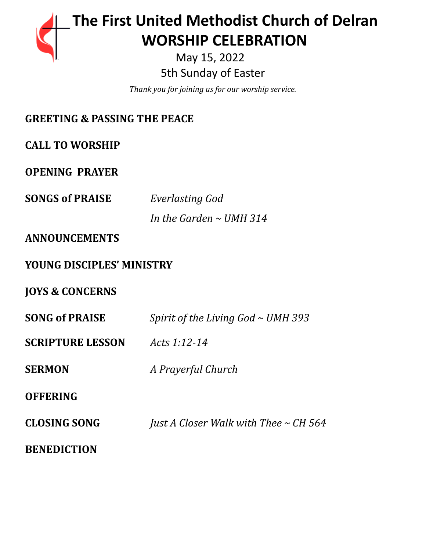

May 15, 2022 5th Sunday of Easter

*Thank you for joining us for our worship service.*

| <b>GREETING &amp; PASSING THE PEACE</b> |                                            |
|-----------------------------------------|--------------------------------------------|
| <b>CALL TO WORSHIP</b>                  |                                            |
| <b>OPENING PRAYER</b>                   |                                            |
| <b>SONGS of PRAISE</b>                  | Everlasting God                            |
|                                         | In the Garden $\sim$ UMH 314               |
| <b>ANNOUNCEMENTS</b>                    |                                            |
| <b>YOUNG DISCIPLES' MINISTRY</b>        |                                            |
| <b>JOYS &amp; CONCERNS</b>              |                                            |
| <b>SONG of PRAISE</b>                   | Spirit of the Living God $\sim$ UMH 393    |
| <b>SCRIPTURE LESSON</b>                 | Acts 1:12-14                               |
| <b>SERMON</b>                           | A Prayerful Church                         |
| <b>OFFERING</b>                         |                                            |
| <b>CLOSING SONG</b>                     | Just A Closer Walk with Thee $\sim$ CH 564 |
| <b>BENEDICTION</b>                      |                                            |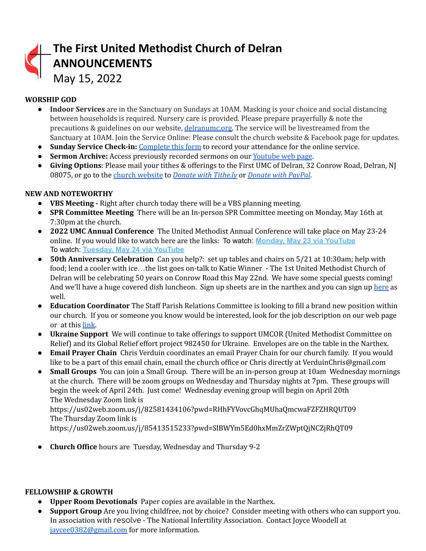| The First United Methodist Church of Delran<br>ANNOUNCEMENTS<br>May 15, 2022 |
|------------------------------------------------------------------------------|
|                                                                              |

## **WORSHIP GOD**

- **Indoor Services** are in the Sanctuary on Sundays at 10AM. Masking is your choice and social distancing between households is required. Nursery care is provided. Please prepare prayerfully & note the precautions & guidelines on our website, [delranumc.org.](http://www.delranumc.org) The service will be livestreamed from the Sanctuary at 10AM. Join the Service Online: Please consult the church website & Facebook page for updates.
- **Sunday Service Check-in:** [Complete](http://www.delranumc.org/checkin) this form to record your attendance for the online service.
- **● Sermon Archive:** Access previously recorded sermons on our [Youtube](https://www.youtube.com/results?search_query=delran+first+umc+channel) web page.
- **Giving Options**: Please mail your tithes & offerings to the First UMC of Delran, 32 Conrow Road, Delran, NJ 08075, or go to the church [website](http://www.delranumc.org) to *Donate with [Tithe.ly](https://tithe.ly/give?c=1379451)* or *[Donate](https://www.paypal.com/donate/?token=JgyQQyCzJSzuWb-4M_kVuUa8ORCkKdbhPebT-DwrySzFpiafxE6LsZCirp50sAsR0jT_60&country.x=US&locale.x=) with PayPal*.

## **NEW AND NOTEWORTHY**

- **● VBS Meeting -** Right after church today there will be a VBS planning meeting.
- **SPR Committee Meeting** There will be an In-person SPR Committee meeting on Monday, May 16th at 7:30pm at the church.
- **2022 UMC Annual Conference** The United Methodist Annual Conference will take place on May 23-24 online. If you would like to watch here are the links: To watch: **[Monday, May 23 via YouTube](https://gnjumc.us11.list-manage.com/track/click?u=b2ab2248b91542a5f476025fe&id=7d3c7a7145&e=73a8a4c6df)** To watch: **[Tuesday, May 24 via YouTube](https://gnjumc.us11.list-manage.com/track/click?u=b2ab2248b91542a5f476025fe&id=cd753cff5c&e=73a8a4c6df)**
- **● 50th Anniversary Celebration** Can you help?: set up tables and chairs on 5/21 at 10:30am; help with food; lend a cooler with ice…the list goes on-talk to Katie Winner - The 1st United Methodist Church of Delran will be celebrating 50 years on Conrow Road this May 22nd. We have some special guests coming! And we'll have a huge covered dish luncheon. Sign up sheets are in the narthex and you can sign up [here](https://www.perfectpotluck.com/DWLN5591) as well.
- **● Education Coordinator** The Staff Parish Relations Committee is looking to fill a brand new position within our church. If you or someone you know would be interested, look for the job description on our web page or at this [link.](http://delranumc.org/staff)
- **Ukraine Support** We will continue to take offerings to support UMCOR (United Methodist Committee on Relief) and its Global Relief effort project 982450 for Ukraine. Envelopes are on the table in the Narthex.
- **● Email Prayer Chain** Chris Verduin coordinates an email Prayer Chain for our church family. If you would like to be a part of this email chain, email the church office or Chris directly at VerduinChris@gmail.com
- **● Small Groups** You can join a Small Group. There will be an in-person group at 10am Wednesday mornings at the church. There will be zoom groups on Wednesday and Thursday nights at 7pm. These groups will begin the week of April 24th. Just come! Wednesday evening group will begin on April 20th The Wednesday Zoom link is

https://us02web.zoom.us/j/82581434106?pwd=RHhFYVovcGhqMUhaQmcwaFZFZHRQUT09 The Thursday Zoom link is

https://us02web.zoom.us/j/85413515233?pwd=SlBWYm5Ed0hxMmZrZWptQjNCZjRhQT09

● **Church Office** hours are Tuesday, Wednesday and Thursday 9-2

## **FELLOWSHIP & GROWTH**

- **Upper Room Devotionals** Paper copies are available in the Narthex.
- **Support Group** Are you living childfree, not by choice? Consider meeting with others who can support you. In association with resolve - The National Infertility Association. Contact Joyce Woodell at [jaycee0382@gmail.com](mailto:jaycee0382@gmail.com) for more information.